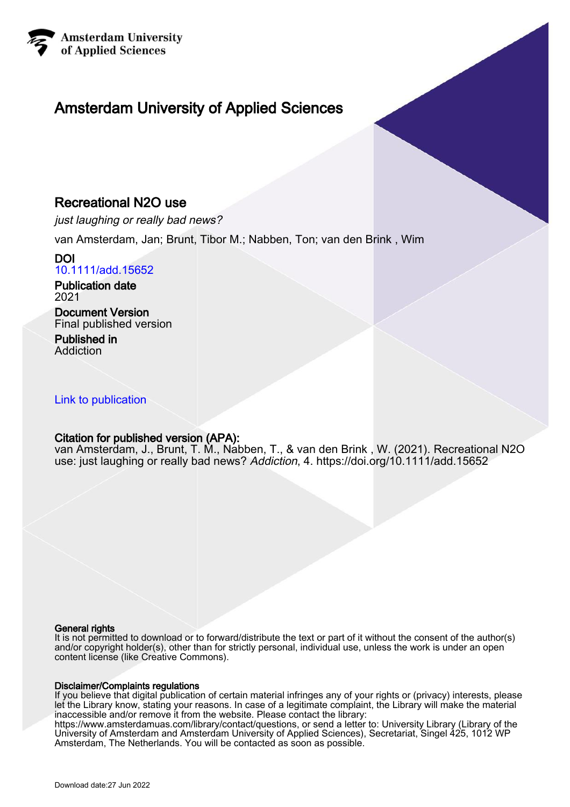

## Amsterdam University of Applied Sciences

## Recreational N2O use

just laughing or really bad news?

van Amsterdam, Jan; Brunt, Tibor M.; Nabben, Ton; van den Brink , Wim

## DOI [10.1111/add.15652](https://doi.org/10.1111/add.15652)

Publication date 2021

### Document Version Final published version

Published in Addiction

## [Link to publication](https://research.hva.nl/en/publications/ddaf9a30-e5f7-4129-bd9f-fd8f9e5ee24b)

## Citation for published version (APA):

van Amsterdam, J., Brunt, T. M., Nabben, T., & van den Brink , W. (2021). Recreational N2O use: just laughing or really bad news? Addiction, 4.<https://doi.org/10.1111/add.15652>

#### General rights

It is not permitted to download or to forward/distribute the text or part of it without the consent of the author(s) and/or copyright holder(s), other than for strictly personal, individual use, unless the work is under an open content license (like Creative Commons).

#### Disclaimer/Complaints regulations

If you believe that digital publication of certain material infringes any of your rights or (privacy) interests, please let the Library know, stating your reasons. In case of a legitimate complaint, the Library will make the material inaccessible and/or remove it from the website. Please contact the library:

https://www.amsterdamuas.com/library/contact/questions, or send a letter to: University Library (Library of the University of Amsterdam and Amsterdam University of Applied Sciences), Secretariat, Singel 425, 1012 WP Amsterdam, The Netherlands. You will be contacted as soon as possible.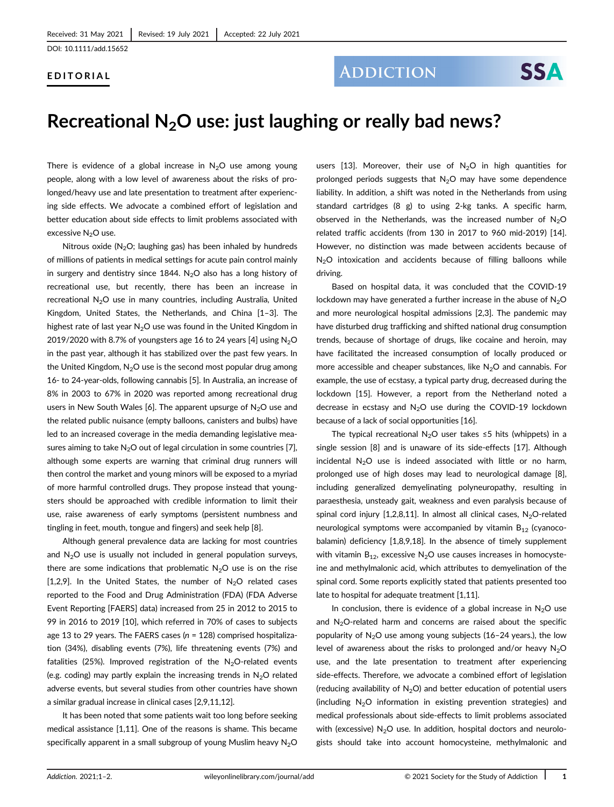#### EDITORIAL

## **ADDICTION**

# Recreational  $N<sub>2</sub>O$  use: just laughing or really bad news?

There is evidence of a global increase in  $N_2O$  use among young people, along with a low level of awareness about the risks of prolonged/heavy use and late presentation to treatment after experiencing side effects. We advocate a combined effort of legislation and better education about side effects to limit problems associated with excessive N<sub>2</sub>O use.

Nitrous oxide ( $N<sub>2</sub>O$ ; laughing gas) has been inhaled by hundreds of millions of patients in medical settings for acute pain control mainly in surgery and dentistry since 1844. N<sub>2</sub>O also has a long history of recreational use, but recently, there has been an increase in recreational  $N_2O$  use in many countries, including Australia, United Kingdom, United States, the Netherlands, and China [1–3]. The highest rate of last year  $N_2O$  use was found in the United Kingdom in 2019/2020 with 8.7% of youngsters age 16 to 24 years [4] using  $N_2O$ in the past year, although it has stabilized over the past few years. In the United Kingdom,  $N_2O$  use is the second most popular drug among 16- to 24-year-olds, following cannabis [5]. In Australia, an increase of 8% in 2003 to 67% in 2020 was reported among recreational drug users in New South Wales [6]. The apparent upsurge of  $N_2O$  use and the related public nuisance (empty balloons, canisters and bulbs) have led to an increased coverage in the media demanding legislative measures aiming to take  $N_2O$  out of legal circulation in some countries [7], although some experts are warning that criminal drug runners will then control the market and young minors will be exposed to a myriad of more harmful controlled drugs. They propose instead that youngsters should be approached with credible information to limit their use, raise awareness of early symptoms (persistent numbness and tingling in feet, mouth, tongue and fingers) and seek help [8].

Although general prevalence data are lacking for most countries and  $N<sub>2</sub>O$  use is usually not included in general population surveys, there are some indications that problematic  $N_2O$  use is on the rise [1,2,9]. In the United States, the number of  $N_2O$  related cases reported to the Food and Drug Administration (FDA) (FDA Adverse Event Reporting [FAERS] data) increased from 25 in 2012 to 2015 to 99 in 2016 to 2019 [10], which referred in 70% of cases to subjects age 13 to 29 years. The FAERS cases ( $n = 128$ ) comprised hospitalization (34%), disabling events (7%), life threatening events (7%) and fatalities (25%). Improved registration of the  $N_2O$ -related events (e.g. coding) may partly explain the increasing trends in  $N<sub>2</sub>O$  related adverse events, but several studies from other countries have shown a similar gradual increase in clinical cases [2,9,11,12].

It has been noted that some patients wait too long before seeking medical assistance [1,11]. One of the reasons is shame. This became specifically apparent in a small subgroup of young Muslim heavy  $N<sub>2</sub>O$  users [13]. Moreover, their use of  $N_2O$  in high quantities for prolonged periods suggests that  $N_2O$  may have some dependence liability. In addition, a shift was noted in the Netherlands from using standard cartridges (8 g) to using 2-kg tanks. A specific harm, observed in the Netherlands, was the increased number of  $N<sub>2</sub>O$ related traffic accidents (from 130 in 2017 to 960 mid-2019) [14]. However, no distinction was made between accidents because of  $N<sub>2</sub>O$  intoxication and accidents because of filling balloons while driving.

Based on hospital data, it was concluded that the COVID-19 lockdown may have generated a further increase in the abuse of  $N_2O$ and more neurological hospital admissions [2,3]. The pandemic may have disturbed drug trafficking and shifted national drug consumption trends, because of shortage of drugs, like cocaine and heroin, may have facilitated the increased consumption of locally produced or more accessible and cheaper substances, like  $N_2O$  and cannabis. For example, the use of ecstasy, a typical party drug, decreased during the lockdown [15]. However, a report from the Netherland noted a decrease in ecstasy and  $N_2O$  use during the COVID-19 lockdown because of a lack of social opportunities [16].

The typical recreational N<sub>2</sub>O user takes ≤5 hits (whippets) in a single session [8] and is unaware of its side-effects [17]. Although incidental  $N_2O$  use is indeed associated with little or no harm, prolonged use of high doses may lead to neurological damage [8], including generalized demyelinating polyneuropathy, resulting in paraesthesia, unsteady gait, weakness and even paralysis because of spinal cord injury [1,2,8,11]. In almost all clinical cases,  $N_2O$ -related neurological symptoms were accompanied by vitamin  $B_{12}$  (cyanocobalamin) deficiency [1,8,9,18]. In the absence of timely supplement with vitamin  $B_{12}$ , excessive N<sub>2</sub>O use causes increases in homocysteine and methylmalonic acid, which attributes to demyelination of the spinal cord. Some reports explicitly stated that patients presented too late to hospital for adequate treatment [1,11].

In conclusion, there is evidence of a global increase in  $N_2O$  use and  $N<sub>2</sub>O$ -related harm and concerns are raised about the specific popularity of  $N_2O$  use among young subjects (16-24 years.), the low level of awareness about the risks to prolonged and/or heavy  $N_2O$ use, and the late presentation to treatment after experiencing side-effects. Therefore, we advocate a combined effort of legislation (reducing availability of  $N_2O$ ) and better education of potential users (including  $N_2O$  information in existing prevention strategies) and medical professionals about side-effects to limit problems associated with (excessive)  $N<sub>2</sub>O$  use. In addition, hospital doctors and neurologists should take into account homocysteine, methylmalonic and